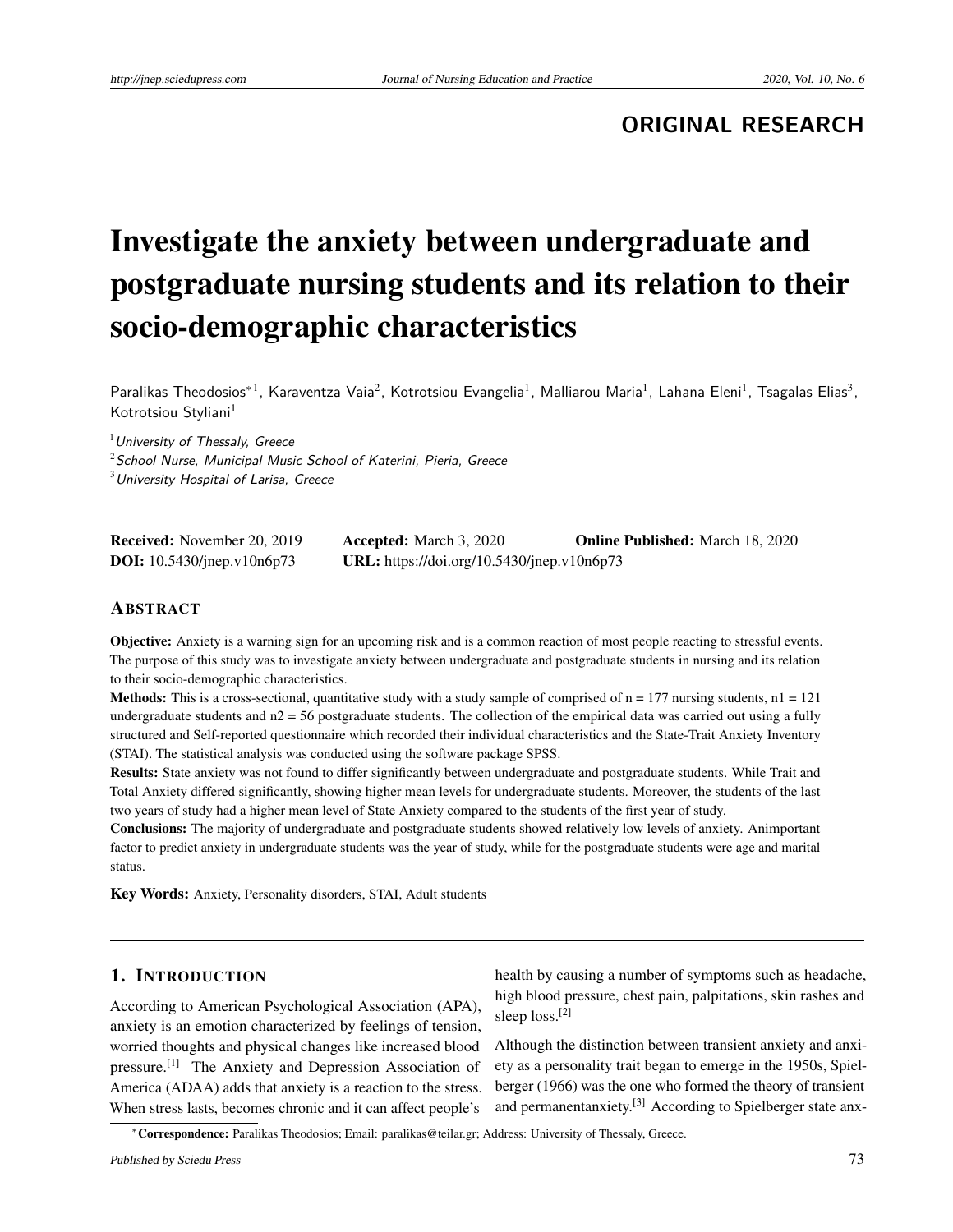**ORIGINAL RESEARCH**

# Investigate the anxiety between undergraduate and postgraduate nursing students and its relation to their socio-demographic characteristics

Paralikas Theodosios\*<sup>1</sup>, Karaventza Vaia<sup>2</sup>, Kotrotsiou Evangelia<sup>1</sup>, Malliarou Maria<sup>1</sup>, Lahana Eleni<sup>1</sup>, Tsagalas Elias<sup>3</sup>, Kotrotsiou Styliani<sup>1</sup>

 $<sup>1</sup>$  University of Thessaly, Greece</sup>

 $2$ School Nurse, Municipal Music School of Katerini, Pieria, Greece

 $3$ University Hospital of Larisa, Greece

| <b>Received:</b> November 20, 2019   | <b>Accepted:</b> March 3, 2020             | <b>Online Published:</b> March 18, 2020 |
|--------------------------------------|--------------------------------------------|-----------------------------------------|
| <b>DOI:</b> $10.5430$ /jnep.v10n6p73 | URL: https://doi.org/10.5430/jnep.v10n6p73 |                                         |

#### **ABSTRACT**

Objective: Anxiety is a warning sign for an upcoming risk and is a common reaction of most people reacting to stressful events. The purpose of this study was to investigate anxiety between undergraduate and postgraduate students in nursing and its relation to their socio-demographic characteristics.

**Methods:** This is a cross-sectional, quantitative study with a study sample of comprised of  $n = 177$  nursing students,  $n = 121$ undergraduate students and  $n^2 = 56$  postgraduate students. The collection of the empirical data was carried out using a fully structured and Self-reported questionnaire which recorded their individual characteristics and the State-Trait Anxiety Inventory (STAI). The statistical analysis was conducted using the software package SPSS.

Results: State anxiety was not found to differ significantly between undergraduate and postgraduate students. While Trait and Total Anxiety differed significantly, showing higher mean levels for undergraduate students. Moreover, the students of the last two years of study had a higher mean level of State Anxiety compared to the students of the first year of study.

Conclusions: The majority of undergraduate and postgraduate students showed relatively low levels of anxiety. Animportant factor to predict anxiety in undergraduate students was the year of study, while for the postgraduate students were age and marital status.

Key Words: Anxiety, Personality disorders, STAI, Adult students

## 1. INTRODUCTION

According to American Psychological Association (APA), anxiety is an emotion characterized by feelings of tension, worried thoughts and physical changes like increased blood pressure.[\[1\]](#page-7-0) The Anxiety and Depression Association of America (ADAA) adds that anxiety is a reaction to the stress. When stress lasts, becomes chronic and it can affect people's

health by causing a number of symptoms such as headache, high blood pressure, chest pain, palpitations, skin rashes and sleep loss.<sup>[\[2\]](#page-7-1)</sup>

Although the distinction between transient anxiety and anxiety as a personality trait began to emerge in the 1950s, Spielberger (1966) was the one who formed the theory of transient and permanentanxiety.<sup>[\[3\]](#page-7-2)</sup> According to Spielberger state anx-

<sup>∗</sup>Correspondence: Paralikas Theodosios; Email: paralikas@teilar.gr; Address: University of Thessaly, Greece.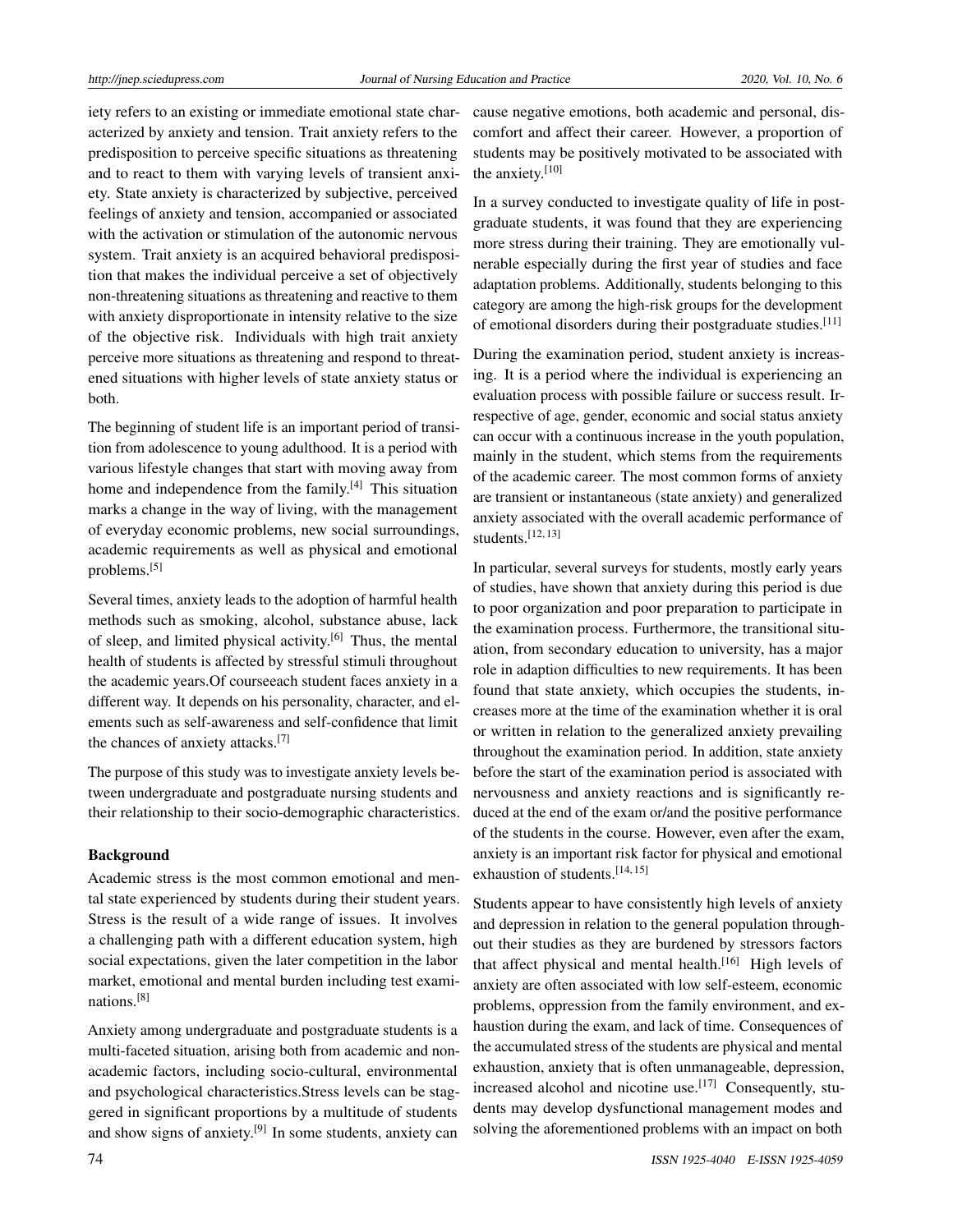iety refers to an existing or immediate emotional state characterized by anxiety and tension. Trait anxiety refers to the predisposition to perceive specific situations as threatening and to react to them with varying levels of transient anxiety. State anxiety is characterized by subjective, perceived feelings of anxiety and tension, accompanied or associated with the activation or stimulation of the autonomic nervous system. Trait anxiety is an acquired behavioral predisposition that makes the individual perceive a set of objectively non-threatening situations as threatening and reactive to them with anxiety disproportionate in intensity relative to the size of the objective risk. Individuals with high trait anxiety perceive more situations as threatening and respond to threatened situations with higher levels of state anxiety status or both.

The beginning of student life is an important period of transition from adolescence to young adulthood. It is a period with various lifestyle changes that start with moving away from home and independence from the family.<sup>[\[4\]](#page-7-3)</sup> This situation marks a change in the way of living, with the management of everyday economic problems, new social surroundings, academic requirements as well as physical and emotional problems.[\[5\]](#page-7-4)

Several times, anxiety leads to the adoption of harmful health methods such as smoking, alcohol, substance abuse, lack of sleep, and limited physical activity.[\[6\]](#page-7-5) Thus, the mental health of students is affected by stressful stimuli throughout the academic years.Of courseeach student faces anxiety in a different way. It depends on his personality, character, and elements such as self-awareness and self-confidence that limit the chances of anxiety attacks.[\[7\]](#page-7-6)

The purpose of this study was to investigate anxiety levels between undergraduate and postgraduate nursing students and their relationship to their socio-demographic characteristics.

#### Background

Academic stress is the most common emotional and mental state experienced by students during their student years. Stress is the result of a wide range of issues. It involves a challenging path with a different education system, high social expectations, given the later competition in the labor market, emotional and mental burden including test examinations.[\[8\]](#page-7-7)

Anxiety among undergraduate and postgraduate students is a multi-faceted situation, arising both from academic and nonacademic factors, including socio-cultural, environmental and psychological characteristics.Stress levels can be staggered in significant proportions by a multitude of students and show signs of anxiety.<sup>[\[9\]](#page-7-8)</sup> In some students, anxiety can

cause negative emotions, both academic and personal, discomfort and affect their career. However, a proportion of students may be positively motivated to be associated with the anxiety.[\[10\]](#page-7-9)

In a survey conducted to investigate quality of life in postgraduate students, it was found that they are experiencing more stress during their training. They are emotionally vulnerable especially during the first year of studies and face adaptation problems. Additionally, students belonging to this category are among the high-risk groups for the development of emotional disorders during their postgraduate studies.<sup>[\[11\]](#page-7-10)</sup>

During the examination period, student anxiety is increasing. It is a period where the individual is experiencing an evaluation process with possible failure or success result. Irrespective of age, gender, economic and social status anxiety can occur with a continuous increase in the youth population, mainly in the student, which stems from the requirements of the academic career. The most common forms of anxiety are transient or instantaneous (state anxiety) and generalized anxiety associated with the overall academic performance of students. $[12, 13]$  $[12, 13]$  $[12, 13]$ 

In particular, several surveys for students, mostly early years of studies, have shown that anxiety during this period is due to poor organization and poor preparation to participate in the examination process. Furthermore, the transitional situation, from secondary education to university, has a major role in adaption difficulties to new requirements. It has been found that state anxiety, which occupies the students, increases more at the time of the examination whether it is oral or written in relation to the generalized anxiety prevailing throughout the examination period. In addition, state anxiety before the start of the examination period is associated with nervousness and anxiety reactions and is significantly reduced at the end of the exam or/and the positive performance of the students in the course. However, even after the exam, anxiety is an important risk factor for physical and emotional exhaustion of students.[\[14,](#page-7-13) [15\]](#page-8-0)

Students appear to have consistently high levels of anxiety and depression in relation to the general population throughout their studies as they are burdened by stressors factors that affect physical and mental health.<sup>[\[16\]](#page-8-1)</sup> High levels of anxiety are often associated with low self-esteem, economic problems, oppression from the family environment, and exhaustion during the exam, and lack of time. Consequences of the accumulated stress of the students are physical and mental exhaustion, anxiety that is often unmanageable, depression, increased alcohol and nicotine use.<sup>[\[17\]](#page-8-2)</sup> Consequently, students may develop dysfunctional management modes and solving the aforementioned problems with an impact on both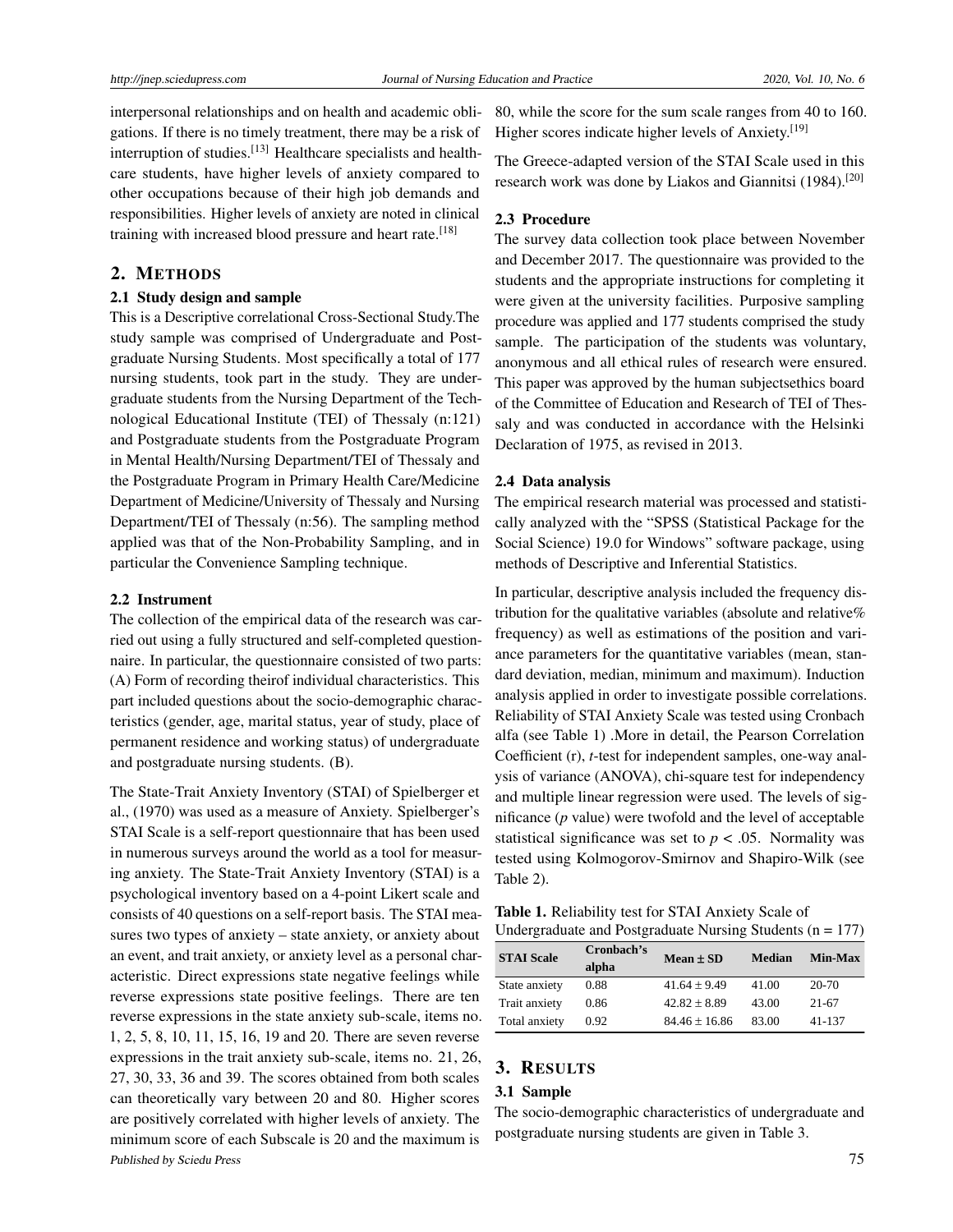interpersonal relationships and on health and academic obligations. If there is no timely treatment, there may be a risk of interruption of studies.<sup>[\[13\]](#page-7-12)</sup> Healthcare specialists and healthcare students, have higher levels of anxiety compared to other occupations because of their high job demands and responsibilities. Higher levels of anxiety are noted in clinical training with increased blood pressure and heart rate.<sup>[\[18\]](#page-8-3)</sup>

#### 2. METHODS

#### 2.1 Study design and sample

This is a Descriptive correlational Cross-Sectional Study.The study sample was comprised of Undergraduate and Postgraduate Nursing Students. Most specifically a total of 177 nursing students, took part in the study. They are undergraduate students from the Nursing Department of the Technological Educational Institute (TEI) of Thessaly (n:121) and Postgraduate students from the Postgraduate Program in Mental Health/Nursing Department/TEI of Thessaly and the Postgraduate Program in Primary Health Care/Medicine Department of Medicine/University of Thessaly and Nursing Department/TEI of Thessaly (n:56). The sampling method applied was that of the Non-Probability Sampling, and in particular the Convenience Sampling technique.

#### 2.2 Instrument

The collection of the empirical data of the research was carried out using a fully structured and self-completed questionnaire. In particular, the questionnaire consisted of two parts: (A) Form of recording theirof individual characteristics. This part included questions about the socio-demographic characteristics (gender, age, marital status, year of study, place of permanent residence and working status) of undergraduate and postgraduate nursing students. (B).

The State-Trait Anxiety Inventory (STAI) of Spielberger et al., (1970) was used as a measure of Anxiety. Spielberger's STAI Scale is a self-report questionnaire that has been used in numerous surveys around the world as a tool for measuring anxiety. The State-Trait Anxiety Inventory (STAI) is a psychological inventory based on a 4-point Likert scale and consists of 40 questions on a self-report basis. The STAI measures two types of anxiety – state anxiety, or anxiety about an event, and trait anxiety, or anxiety level as a personal characteristic. Direct expressions state negative feelings while reverse expressions state positive feelings. There are ten reverse expressions in the state anxiety sub-scale, items no. 1, 2, 5, 8, 10, 11, 15, 16, 19 and 20. There are seven reverse expressions in the trait anxiety sub-scale, items no. 21, 26, 27, 30, 33, 36 and 39. The scores obtained from both scales can theoretically vary between 20 and 80. Higher scores are positively correlated with higher levels of anxiety. The minimum score of each Subscale is 20 and the maximum is Published by Sciedu Press 75

80, while the score for the sum scale ranges from 40 to 160. Higher scores indicate higher levels of Anxiety.<sup>[\[19\]](#page-8-4)</sup>

The Greece-adapted version of the STAI Scale used in this research work was done by Liakos and Giannitsi (1984).<sup>[\[20\]](#page-8-5)</sup>

#### 2.3 Procedure

The survey data collection took place between November and December 2017. The questionnaire was provided to the students and the appropriate instructions for completing it were given at the university facilities. Purposive sampling procedure was applied and 177 students comprised the study sample. The participation of the students was voluntary, anonymous and all ethical rules of research were ensured. This paper was approved by the human subjectsethics board of the Committee of Education and Research of TEI of Thessaly and was conducted in accordance with the Helsinki Declaration of 1975, as revised in 2013.

#### 2.4 Data analysis

The empirical research material was processed and statistically analyzed with the "SPSS (Statistical Package for the Social Science) 19.0 for Windows" software package, using methods of Descriptive and Inferential Statistics.

In particular, descriptive analysis included the frequency distribution for the qualitative variables (absolute and relative% frequency) as well as estimations of the position and variance parameters for the quantitative variables (mean, standard deviation, median, minimum and maximum). Induction analysis applied in order to investigate possible correlations. Reliability of STAI Anxiety Scale was tested using Cronbach alfa (see Table 1) .More in detail, the Pearson Correlation Coefficient (r), *t*-test for independent samples, one-way analysis of variance (ANOVA), chi-square test for independency and multiple linear regression were used. The levels of significance (*p* value) were twofold and the level of acceptable statistical significance was set to  $p < .05$ . Normality was tested using Kolmogorov-Smirnov and Shapiro-Wilk (see Table 2).

Table 1. Reliability test for STAI Anxiety Scale of Undergraduate and Postgraduate Nursing Students (n = 177)

| <b>STAI Scale</b> | Cronbach's<br>alpha | $Mean \pm SD$     | Median | Min-Max   |
|-------------------|---------------------|-------------------|--------|-----------|
| State anxiety     | 0.88                | $41.64 + 9.49$    | 41.00  | $20 - 70$ |
| Trait anxiety     | 0.86                | $42.82 + 8.89$    | 43.00  | $21-67$   |
| Total anxiety     | 0.92                | $84.46 \pm 16.86$ | 83.00  | 41-137    |

#### 3. RESULTS

#### 3.1 Sample

The socio-demographic characteristics of undergraduate and postgraduate nursing students are given in Table 3.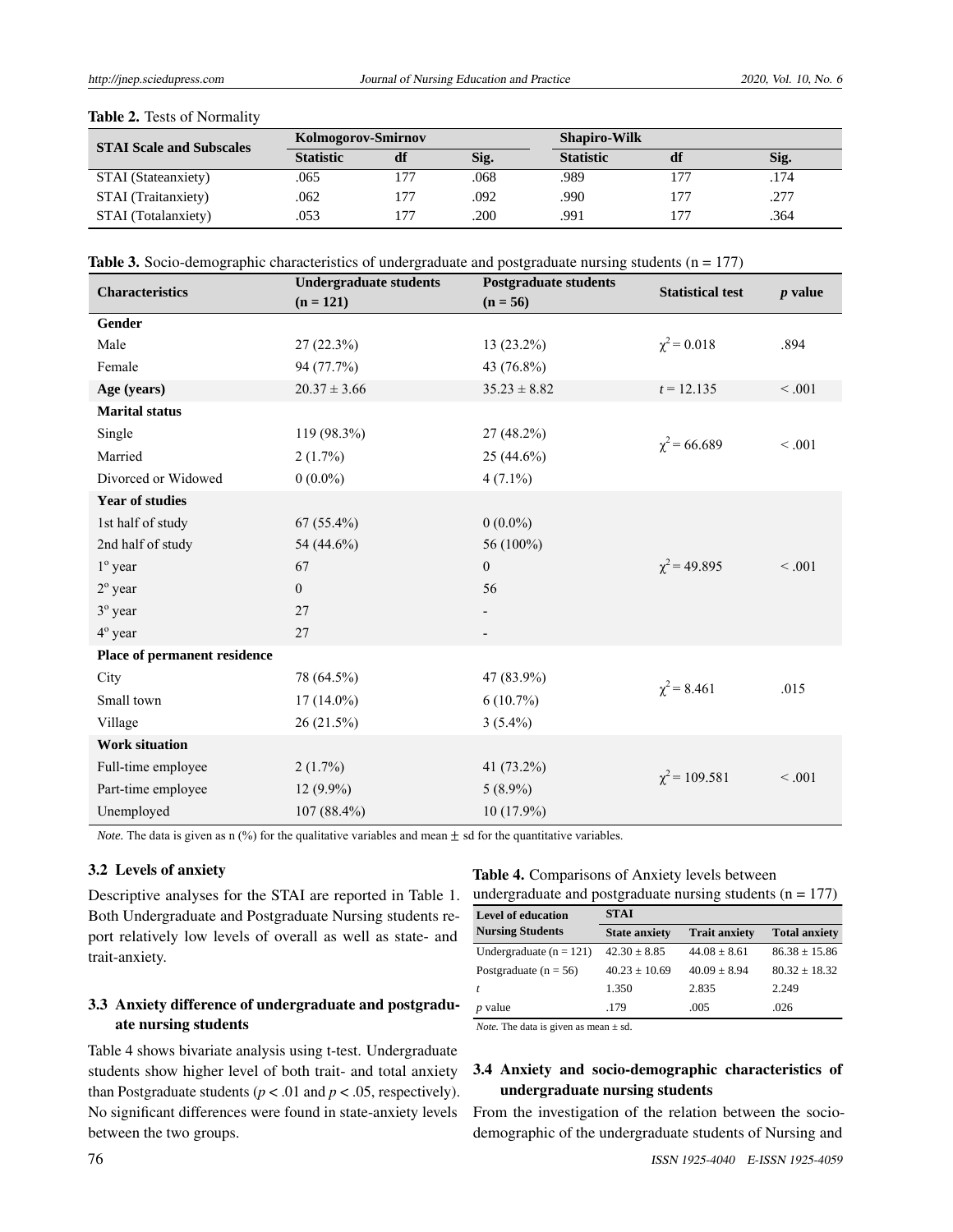| <b>STAI Scale and Subscales</b> |                  | <b>Kolmogorov-Smirnov</b> |      |                  | <b>Shapiro-Wilk</b> |      |
|---------------------------------|------------------|---------------------------|------|------------------|---------------------|------|
|                                 | <b>Statistic</b> | df                        | Sig. | <b>Statistic</b> | df                  | Sig. |
| STAI (Stateanxiety)             | .065             |                           | .068 | .989             |                     | .174 |
| STAI (Traitanxiety)             | .062             | 177                       | .092 | .990             | 17 <sup>7</sup>     | .277 |
| STAI (Totalanxiety)             | .053             |                           | .200 | .991             | $17-$               | .364 |

#### Table 2. Tests of Normality

| <b>Characteristics</b>       | <b>Undergraduate students</b><br>$(n = 121)$ | <b>Postgraduate students</b><br>$(n = 56)$ | <b>Statistical test</b> | $p$ value |
|------------------------------|----------------------------------------------|--------------------------------------------|-------------------------|-----------|
| Gender                       |                                              |                                            |                         |           |
| Male                         | 27(22.3%)                                    | 13 (23.2%)                                 | $\chi^2$ = 0.018        | .894      |
| Female                       | 94 (77.7%)                                   | 43 (76.8%)                                 |                         |           |
| Age (years)                  | $20.37 \pm 3.66$                             | $35.23 \pm 8.82$                           | $t = 12.135$            | < 0.001   |
| <b>Marital status</b>        |                                              |                                            |                         |           |
| Single                       | 119 (98.3%)                                  | 27 (48.2%)                                 | $\chi^2$ = 66.689       | < 0.001   |
| Married                      | $2(1.7\%)$                                   | $25(44.6\%)$                               |                         |           |
| Divorced or Widowed          | $0(0.0\%)$                                   | $4(7.1\%)$                                 |                         |           |
| <b>Year of studies</b>       |                                              |                                            |                         |           |
| 1st half of study            | $67(55.4\%)$                                 | $0(0.0\%)$                                 |                         |           |
| 2nd half of study            | 54 (44.6%)                                   | 56 (100%)                                  |                         |           |
| $1^\circ$ year               | 67                                           | $\boldsymbol{0}$                           | $\chi^2$ = 49.895       | < 0.001   |
| $2^{\circ}$ year             | $\overline{0}$                               | 56                                         |                         |           |
| $3^{\circ}$ year             | 27                                           |                                            |                         |           |
| 4 <sup>°</sup> year          | 27                                           |                                            |                         |           |
| Place of permanent residence |                                              |                                            |                         |           |
| City                         | 78 (64.5%)                                   | 47 (83.9%)                                 | $\chi^2$ = 8.461        | .015      |
| Small town                   | $17(14.0\%)$                                 | $6(10.7\%)$                                |                         |           |
| Village                      | 26 (21.5%)                                   | $3(5.4\%)$                                 |                         |           |
| <b>Work situation</b>        |                                              |                                            |                         |           |
| Full-time employee           | 2(1.7%)                                      | 41 (73.2%)                                 |                         |           |
| Part-time employee           | $12(9.9\%)$                                  | $5(8.9\%)$                                 | $\chi^2$ = 109.581      | < 0.001   |
| Unemployed                   | 107 (88.4%)                                  | 10 (17.9%)                                 |                         |           |
|                              |                                              |                                            |                         |           |

*Note.* The data is given as n (%) for the qualitative variables and mean  $\pm$  sd for the quantitative variables.

#### 3.2 Levels of anxiety

Descriptive analyses for the STAI are reported in Table 1. Both Undergraduate and Postgraduate Nursing students report relatively low levels of overall as well as state- and trait-anxiety.

## 3.3 Anxiety difference of undergraduate and postgraduate nursing students

Table 4 shows bivariate analysis using t-test. Undergraduate students show higher level of both trait- and total anxiety than Postgraduate students ( $p < .01$  and  $p < .05$ , respectively). No significant differences were found in state-anxiety levels between the two groups.

### Table 4. Comparisons of Anxiety levels between undergraduate and postgraduate nursing students  $(n = 177)$

| <b>Level of education</b> | <b>STAI</b>          |                      |                      |  |
|---------------------------|----------------------|----------------------|----------------------|--|
| <b>Nursing Students</b>   | <b>State anxiety</b> | <b>Trait anxiety</b> | <b>Total anxiety</b> |  |
| Undergraduate $(n = 121)$ | $42.30 \pm 8.85$     | $44.08 + 8.61$       | $86.38 + 15.86$      |  |
| Postgraduate ( $n = 56$ ) | $40.23 + 10.69$      | $40.09 + 8.94$       | $80.32 + 18.32$      |  |
|                           | 1.350                | 2.835                | 2.249                |  |
| $p$ value                 | .179                 | .005                 | .026                 |  |

*Note.* The data is given as mean  $\pm$  sd.

## 3.4 Anxiety and socio-demographic characteristics of undergraduate nursing students

From the investigation of the relation between the sociodemographic of the undergraduate students of Nursing and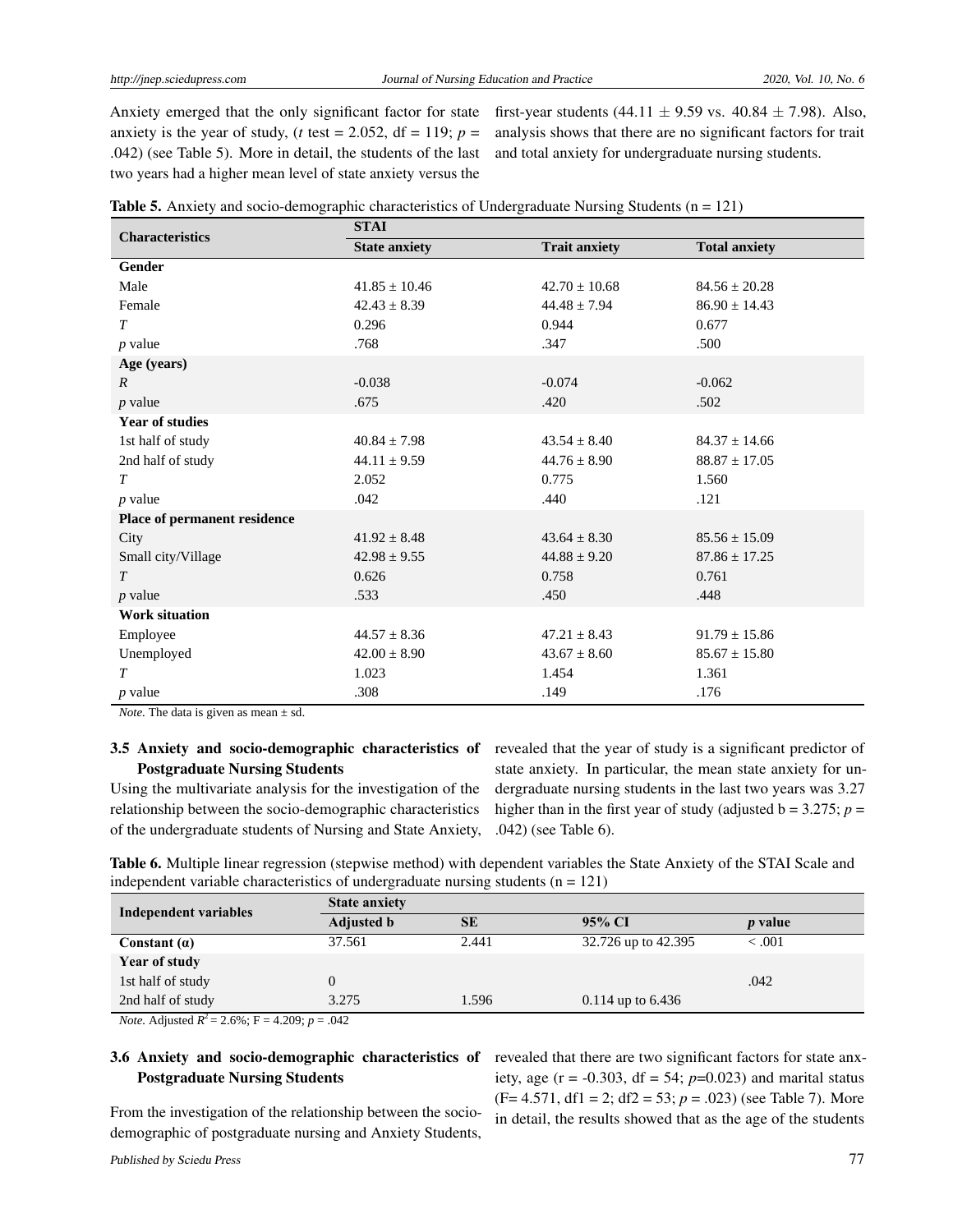Anxiety emerged that the only significant factor for state anxiety is the year of study, (*t* test = 2.052, df = 119;  $p =$ .042) (see Table 5). More in detail, the students of the last two years had a higher mean level of state anxiety versus the

first-year students (44.11  $\pm$  9.59 vs. 40.84  $\pm$  7.98). Also, analysis shows that there are no significant factors for trait and total anxiety for undergraduate nursing students.

| <b>Characteristics</b>       | <b>STAI</b>          |                      |                      |  |  |  |
|------------------------------|----------------------|----------------------|----------------------|--|--|--|
|                              | <b>State anxiety</b> | <b>Trait anxiety</b> | <b>Total anxiety</b> |  |  |  |
| Gender                       |                      |                      |                      |  |  |  |
| Male                         | $41.85 \pm 10.46$    | $42.70 \pm 10.68$    | $84.56 \pm 20.28$    |  |  |  |
| Female                       | $42.43 \pm 8.39$     | $44.48 \pm 7.94$     | $86.90 \pm 14.43$    |  |  |  |
| T                            | 0.296                | 0.944                | 0.677                |  |  |  |
| $p$ value                    | .768                 | .347                 | .500                 |  |  |  |
| Age (years)                  |                      |                      |                      |  |  |  |
| $\overline{R}$               | $-0.038$             | $-0.074$             | $-0.062$             |  |  |  |
| $p$ value                    | .675                 | .420                 | .502                 |  |  |  |
| <b>Year of studies</b>       |                      |                      |                      |  |  |  |
| 1st half of study            | $40.84 \pm 7.98$     | $43.54 \pm 8.40$     | $84.37 \pm 14.66$    |  |  |  |
| 2nd half of study            | $44.11 \pm 9.59$     | $44.76 \pm 8.90$     | $88.87 \pm 17.05$    |  |  |  |
| $\tau$                       | 2.052                | 0.775                | 1.560                |  |  |  |
| $p$ value                    | .042                 | .440                 | .121                 |  |  |  |
| Place of permanent residence |                      |                      |                      |  |  |  |
| City                         | $41.92 \pm 8.48$     | $43.64 \pm 8.30$     | $85.56 \pm 15.09$    |  |  |  |
| Small city/Village           | $42.98 \pm 9.55$     | $44.88 \pm 9.20$     | $87.86 \pm 17.25$    |  |  |  |
| T                            | 0.626                | 0.758                | 0.761                |  |  |  |
| $p$ value                    | .533                 | .450                 | .448                 |  |  |  |
| <b>Work situation</b>        |                      |                      |                      |  |  |  |
| Employee                     | $44.57 \pm 8.36$     | $47.21 \pm 8.43$     | $91.79 \pm 15.86$    |  |  |  |
| Unemployed                   | $42.00 \pm 8.90$     | $43.67 \pm 8.60$     | $85.67 \pm 15.80$    |  |  |  |
| T                            | 1.023                | 1.454                | 1.361                |  |  |  |
| $p$ value                    | .308                 | .149                 | .176                 |  |  |  |

*Note.* The data is given as mean  $\pm$  sd.

## Postgraduate Nursing Students

Using the multivariate analysis for the investigation of the relationship between the socio-demographic characteristics of the undergraduate students of Nursing and State Anxiety,

3.5 Anxiety and socio-demographic characteristics of revealed that the year of study is a significant predictor of state anxiety. In particular, the mean state anxiety for undergraduate nursing students in the last two years was 3.27 higher than in the first year of study (adjusted  $b = 3.275$ ;  $p =$ .042) (see Table 6).

Table 6. Multiple linear regression (stepwise method) with dependent variables the State Anxiety of the STAI Scale and independent variable characteristics of undergraduate nursing students  $(n = 121)$ 

| Independent variables              | <b>State anxiety</b> |           |                     |                |  |
|------------------------------------|----------------------|-----------|---------------------|----------------|--|
|                                    | <b>Adjusted b</b>    | <b>SE</b> | 95% CI              | <i>p</i> value |  |
| Constant $(a)$                     | 37.561               | 2.441     | 32.726 up to 42.395 | < 0.001        |  |
| Year of study                      |                      |           |                     |                |  |
| 1st half of study                  |                      |           |                     | .042           |  |
| 2nd half of study<br>$\sim$ $\sim$ | 3.275                | 1.596     | $0.114$ up to 6.436 |                |  |

*Note.* Adjusted  $R^2 = 2.6\%$ ; F = 4.209; p = .042

## Postgraduate Nursing Students

From the investigation of the relationship between the sociodemographic of postgraduate nursing and Anxiety Students,

3.6 Anxiety and socio-demographic characteristics of revealed that there are two significant factors for state anxiety, age ( $r = -0.303$ , df = 54;  $p=0.023$ ) and marital status (F= 4.571, df1 = 2; df2 = 53; *p* = .023) (see Table 7). More in detail, the results showed that as the age of the students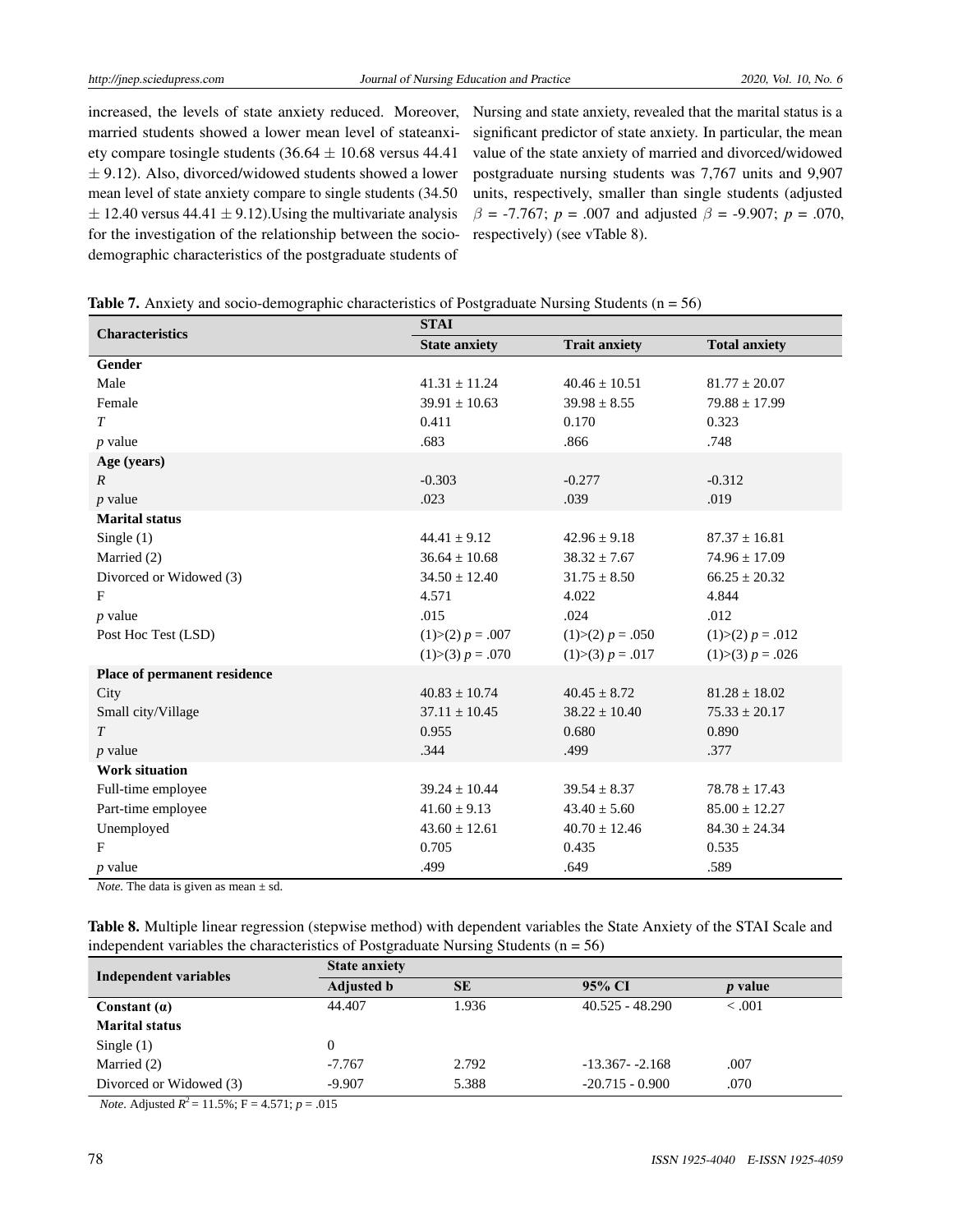increased, the levels of state anxiety reduced. Moreover, married students showed a lower mean level of stateanxiety compare tosingle students  $(36.64 \pm 10.68 \text{ versus } 44.41)$  $\pm$  9.12). Also, divorced/widowed students showed a lower mean level of state anxiety compare to single students (34.50  $\pm$  12.40 versus 44.41  $\pm$  9.12). Using the multivariate analysis for the investigation of the relationship between the sociodemographic characteristics of the postgraduate students of

Nursing and state anxiety, revealed that the marital status is a significant predictor of state anxiety. In particular, the mean value of the state anxiety of married and divorced/widowed postgraduate nursing students was 7,767 units and 9,907 units, respectively, smaller than single students (adjusted *β* = -7.767; *p* = .007 and adjusted *β* = -9.907; *p* = .070, respectively) (see vTable 8).

|  | <b>Table 7.</b> Anxiety and socio-demographic characteristics of Postgraduate Nursing Students $(n = 56)$ |  |  |
|--|-----------------------------------------------------------------------------------------------------------|--|--|
|  |                                                                                                           |  |  |

| <b>Characteristics</b>       | <b>STAI</b>          |                      |                      |  |  |
|------------------------------|----------------------|----------------------|----------------------|--|--|
|                              | <b>State anxiety</b> | <b>Trait anxiety</b> | <b>Total anxiety</b> |  |  |
| <b>Gender</b>                |                      |                      |                      |  |  |
| Male                         | $41.31 \pm 11.24$    | $40.46 \pm 10.51$    | $81.77 \pm 20.07$    |  |  |
| Female                       | $39.91 \pm 10.63$    | $39.98 \pm 8.55$     | $79.88 \pm 17.99$    |  |  |
| $\tau$                       | 0.411                | 0.170                | 0.323                |  |  |
| $p$ value                    | .683                 | .866                 | .748                 |  |  |
| Age (years)                  |                      |                      |                      |  |  |
| $\mathbb{R}$                 | $-0.303$             | $-0.277$             | $-0.312$             |  |  |
| $p$ value                    | .023                 | .039                 | .019                 |  |  |
| <b>Marital status</b>        |                      |                      |                      |  |  |
| Single $(1)$                 | $44.41 \pm 9.12$     | $42.96 \pm 9.18$     | $87.37 \pm 16.81$    |  |  |
| Married (2)                  | $36.64 \pm 10.68$    | $38.32 \pm 7.67$     | $74.96 \pm 17.09$    |  |  |
| Divorced or Widowed (3)      | $34.50 \pm 12.40$    | $31.75 \pm 8.50$     | $66.25 \pm 20.32$    |  |  |
| F                            | 4.571                | 4.022                | 4.844                |  |  |
| $p$ value                    | .015                 | .024                 | .012                 |  |  |
| Post Hoc Test (LSD)          | $(1) > (2) p = .007$ | $(1) > (2) p = .050$ | $(1) > (2) p = .012$ |  |  |
|                              | $(1) > (3) p = .070$ | $(1) > (3) p = .017$ | $(1) > (3) p = .026$ |  |  |
| Place of permanent residence |                      |                      |                      |  |  |
| City                         | $40.83 \pm 10.74$    | $40.45 \pm 8.72$     | $81.28 \pm 18.02$    |  |  |
| Small city/Village           | $37.11 \pm 10.45$    | $38.22 \pm 10.40$    | $75.33 \pm 20.17$    |  |  |
| T                            | 0.955                | 0.680                | 0.890                |  |  |
| $p$ value                    | .344                 | .499                 | .377                 |  |  |
| <b>Work situation</b>        |                      |                      |                      |  |  |
| Full-time employee           | $39.24 \pm 10.44$    | $39.54 \pm 8.37$     | $78.78 \pm 17.43$    |  |  |
| Part-time employee           | $41.60 \pm 9.13$     | $43.40 \pm 5.60$     | $85.00 \pm 12.27$    |  |  |
| Unemployed                   | $43.60 \pm 12.61$    | $40.70 \pm 12.46$    | $84.30 \pm 24.34$    |  |  |
| F                            | 0.705                | 0.435                | 0.535                |  |  |
| $p$ value                    | .499                 | .649                 | .589                 |  |  |

*Note.* The data is given as mean  $\pm$  sd.

Table 8. Multiple linear regression (stepwise method) with dependent variables the State Anxiety of the STAI Scale and independent variables the characteristics of Postgraduate Nursing Students  $(n = 56)$ 

| Independent variables   | <b>State anxiety</b> |           |                   |                |  |
|-------------------------|----------------------|-----------|-------------------|----------------|--|
|                         | <b>Adjusted b</b>    | <b>SE</b> | 95% CI            | <i>p</i> value |  |
| Constant $(a)$          | 44.407               | 1.936     | $40.525 - 48.290$ | $-.001$        |  |
| <b>Marital status</b>   |                      |           |                   |                |  |
| Single $(1)$            |                      |           |                   |                |  |
| Married (2)             | $-7.767$             | 2.792     | $-13.367 - 2.168$ | .007           |  |
| Divorced or Widowed (3) | $-9.907$             | 5.388     | $-20.715 - 0.900$ | .070           |  |

*Note.* Adjusted  $R^2 = 11.5\%$ ; F = 4.571; *p* = .015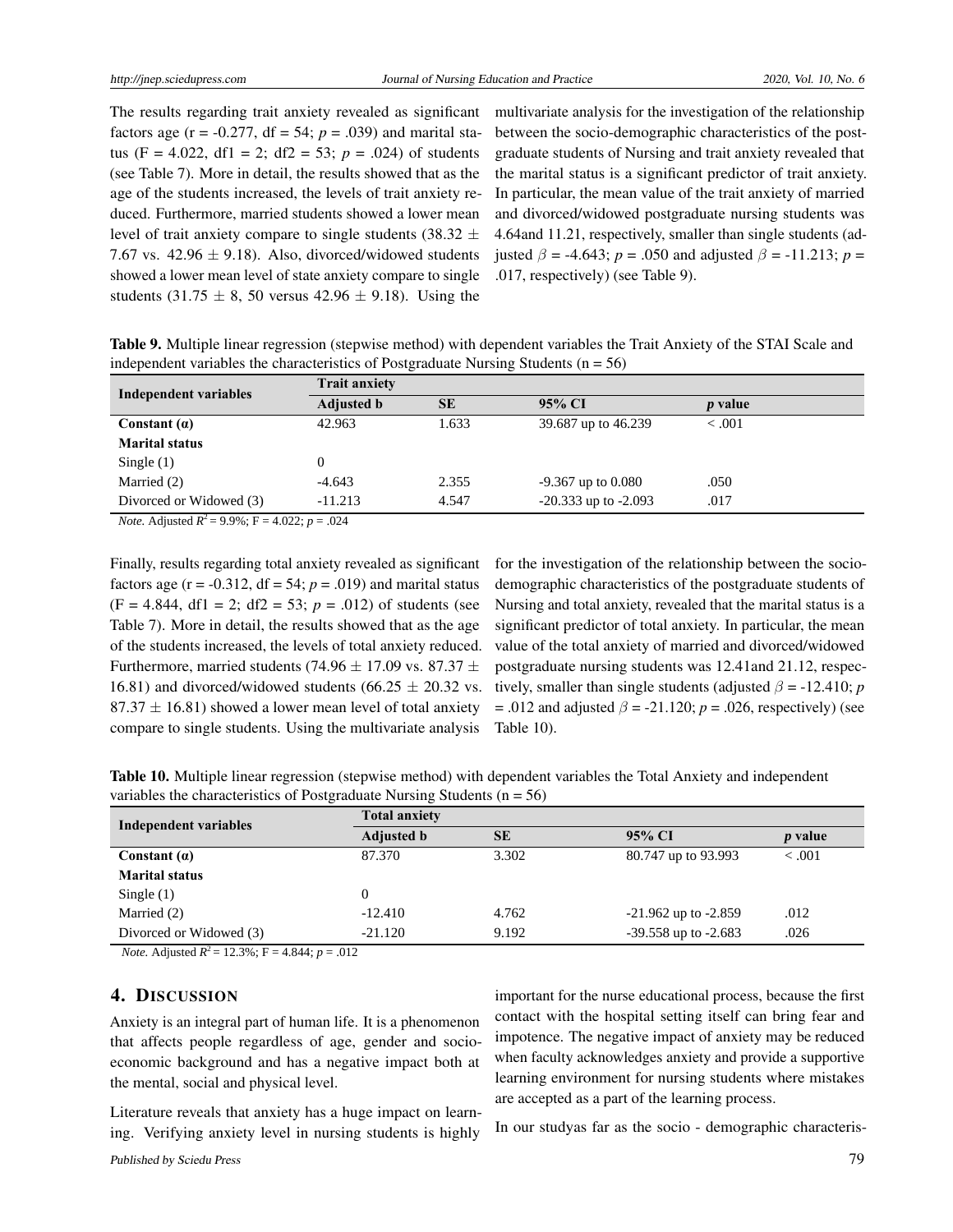The results regarding trait anxiety revealed as significant factors age ( $r = -0.277$ , df = 54;  $p = .039$ ) and marital status (F = 4.022, df1 = 2; df2 = 53;  $p = .024$ ) of students (see Table 7). More in detail, the results showed that as the age of the students increased, the levels of trait anxiety reduced. Furthermore, married students showed a lower mean level of trait anxiety compare to single students (38.32  $\pm$ 7.67 vs.  $42.96 \pm 9.18$ ). Also, divorced/widowed students showed a lower mean level of state anxiety compare to single students (31.75  $\pm$  8, 50 versus 42.96  $\pm$  9.18). Using the

multivariate analysis for the investigation of the relationship between the socio-demographic characteristics of the postgraduate students of Nursing and trait anxiety revealed that the marital status is a significant predictor of trait anxiety. In particular, the mean value of the trait anxiety of married and divorced/widowed postgraduate nursing students was 4.64and 11.21, respectively, smaller than single students (adjusted *β* = -4.643; *p* = .050 and adjusted *β* = -11.213; *p* = .017, respectively) (see Table 9).

Table 9. Multiple linear regression (stepwise method) with dependent variables the Trait Anxiety of the STAI Scale and independent variables the characteristics of Postgraduate Nursing Students  $(n = 56)$ 

| Independent variables                                                                                           | <b>Trait anxiety</b>           |       |                          |                |  |  |
|-----------------------------------------------------------------------------------------------------------------|--------------------------------|-------|--------------------------|----------------|--|--|
|                                                                                                                 | <b>SE</b><br><b>Adjusted b</b> |       | 95% CI                   | <i>p</i> value |  |  |
| Constant $(a)$                                                                                                  | 42.963                         | 1.633 | 39.687 up to 46.239      | < 0.001        |  |  |
| <b>Marital status</b>                                                                                           |                                |       |                          |                |  |  |
| Single $(1)$                                                                                                    |                                |       |                          |                |  |  |
| Married (2)                                                                                                     | $-4.643$                       | 2.355 | $-9.367$ up to $0.080$   | .050           |  |  |
| Divorced or Widowed (3)                                                                                         | $-11.213$                      | 4.547 | $-20.333$ up to $-2.093$ | .017           |  |  |
| the contract of the contract of the contract of the contract of the contract of the contract of the contract of |                                |       |                          |                |  |  |

*Note.* Adjusted  $R^2 = 9.9\%$ ;  $F = 4.022$ ;  $p = .024$ 

Finally, results regarding total anxiety revealed as significant factors age  $(r = -0.312, df = 54; p = .019)$  and marital status  $(F = 4.844, df1 = 2; df2 = 53; p = .012)$  of students (see Table 7). More in detail, the results showed that as the age of the students increased, the levels of total anxiety reduced. Furthermore, married students (74.96  $\pm$  17.09 vs. 87.37  $\pm$ 16.81) and divorced/widowed students (66.25  $\pm$  20.32 vs.  $87.37 \pm 16.81$ ) showed a lower mean level of total anxiety compare to single students. Using the multivariate analysis

for the investigation of the relationship between the sociodemographic characteristics of the postgraduate students of Nursing and total anxiety, revealed that the marital status is a significant predictor of total anxiety. In particular, the mean value of the total anxiety of married and divorced/widowed postgraduate nursing students was 12.41and 21.12, respectively, smaller than single students (adjusted  $\beta$  = -12.410; *p* = .012 and adjusted *β* = -21.120; *p* = .026, respectively) (see Table 10).

|  | Table 10. Multiple linear regression (stepwise method) with dependent variables the Total Anxiety and independent |  |  |  |
|--|-------------------------------------------------------------------------------------------------------------------|--|--|--|
|  | variables the characteristics of Postgraduate Nursing Students ( $n = 56$ )                                       |  |  |  |

| <b>Independent variables</b> | <b>Total anxiety</b> |           |                          |                |  |  |
|------------------------------|----------------------|-----------|--------------------------|----------------|--|--|
|                              | <b>Adjusted b</b>    | <b>SE</b> | 95% CI                   | <i>p</i> value |  |  |
| Constant $(a)$               | 87.370               | 3.302     | 80.747 up to 93.993      | $-.001$        |  |  |
| <b>Marital status</b>        |                      |           |                          |                |  |  |
| Single $(1)$                 |                      |           |                          |                |  |  |
| Married (2)                  | $-12.410$            | 4.762     | $-21.962$ up to $-2.859$ | .012           |  |  |
| Divorced or Widowed (3)      | $-21.120$            | 9.192     | $-39.558$ up to $-2.683$ | .026           |  |  |

*Note.* Adjusted  $R^2 = 12.3\%$ ; F = 4.844; *p* = .012

### 4. DISCUSSION

Anxiety is an integral part of human life. It is a phenomenon that affects people regardless of age, gender and socioeconomic background and has a negative impact both at the mental, social and physical level.

Literature reveals that anxiety has a huge impact on learning. Verifying anxiety level in nursing students is highly

important for the nurse educational process, because the first contact with the hospital setting itself can bring fear and impotence. The negative impact of anxiety may be reduced when faculty acknowledges anxiety and provide a supportive learning environment for nursing students where mistakes are accepted as a part of the learning process.

In our studyas far as the socio - demographic characteris-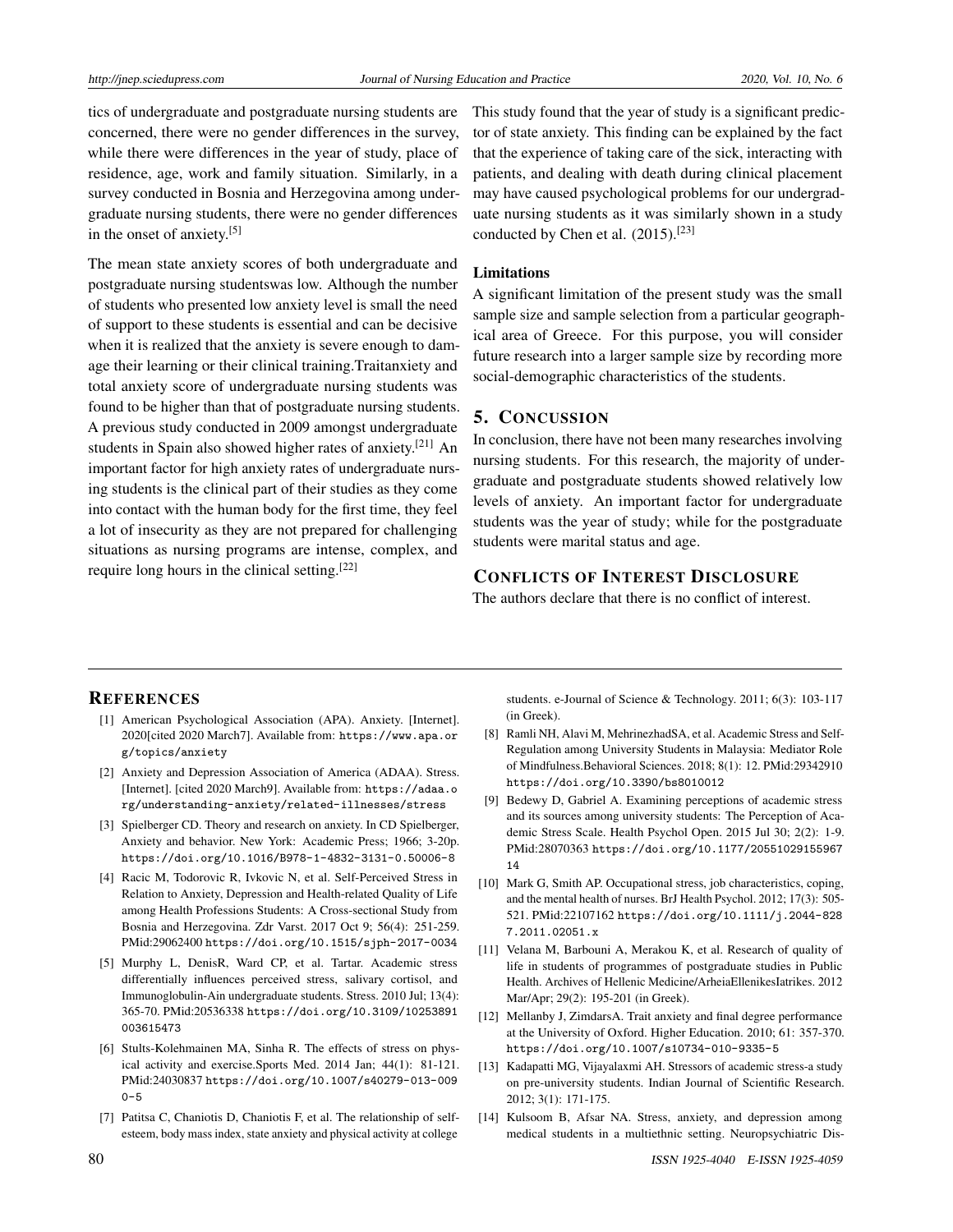tics of undergraduate and postgraduate nursing students are concerned, there were no gender differences in the survey, while there were differences in the year of study, place of residence, age, work and family situation. Similarly, in a survey conducted in Bosnia and Herzegovina among undergraduate nursing students, there were no gender differences in the onset of anxiety.[\[5\]](#page-7-4)

The mean state anxiety scores of both undergraduate and postgraduate nursing studentswas low. Although the number of students who presented low anxiety level is small the need of support to these students is essential and can be decisive when it is realized that the anxiety is severe enough to damage their learning or their clinical training.Traitanxiety and total anxiety score of undergraduate nursing students was found to be higher than that of postgraduate nursing students. A previous study conducted in 2009 amongst undergraduate students in Spain also showed higher rates of anxiety.[\[21\]](#page-8-6) An important factor for high anxiety rates of undergraduate nursing students is the clinical part of their studies as they come into contact with the human body for the first time, they feel a lot of insecurity as they are not prepared for challenging situations as nursing programs are intense, complex, and require long hours in the clinical setting.[\[22\]](#page-8-7)

This study found that the year of study is a significant predictor of state anxiety. This finding can be explained by the fact that the experience of taking care of the sick, interacting with patients, and dealing with death during clinical placement may have caused psychological problems for our undergraduate nursing students as it was similarly shown in a study conducted by Chen et al.  $(2015)$ .<sup>[\[23\]](#page-8-8)</sup>

#### Limitations

A significant limitation of the present study was the small sample size and sample selection from a particular geographical area of Greece. For this purpose, you will consider future research into a larger sample size by recording more social-demographic characteristics of the students.

## 5. CONCUSSION

In conclusion, there have not been many researches involving nursing students. For this research, the majority of undergraduate and postgraduate students showed relatively low levels of anxiety. An important factor for undergraduate students was the year of study; while for the postgraduate students were marital status and age.

#### CONFLICTS OF INTEREST DISCLOSURE

The authors declare that there is no conflict of interest.

#### **REFERENCES**

- <span id="page-7-0"></span>[1] American Psychological Association (APA). Anxiety. [Internet]. 2020[cited 2020 March7]. Available from: [https://www.apa.or](https://www.apa.org/topics/anxiety) [g/topics/anxiety](https://www.apa.org/topics/anxiety)
- <span id="page-7-1"></span>[2] Anxiety and Depression Association of America (ADAA). Stress. [Internet]. [cited 2020 March9]. Available from: [https://adaa.o](https://adaa.org/understanding-anxiety/related-illnesses/stress) [rg/understanding-anxiety/related-illnesses/stress](https://adaa.org/understanding-anxiety/related-illnesses/stress)
- <span id="page-7-2"></span>[3] Spielberger CD. Theory and research on anxiety. In CD Spielberger, Anxiety and behavior. New York: Academic Press; 1966; 3-20p. <https://doi.org/10.1016/B978-1-4832-3131-0.50006-8>
- <span id="page-7-3"></span>[4] Racic M, Todorovic R, Ivkovic N, et al. Self-Perceived Stress in Relation to Anxiety, Depression and Health-related Quality of Life among Health Professions Students: A Cross-sectional Study from Bosnia and Herzegovina. Zdr Varst. 2017 Oct 9; 56(4): 251-259. PMid:29062400 <https://doi.org/10.1515/sjph-2017-0034>
- <span id="page-7-4"></span>[5] Murphy L, DenisR, Ward CP, et al. Tartar. Academic stress differentially influences perceived stress, salivary cortisol, and Immunoglobulin-Ain undergraduate students. Stress. 2010 Jul; 13(4): 365-70. PMid:20536338 [https://doi.org/10.3109/10253891](https://doi.org/10.3109/10253891003615473) [003615473](https://doi.org/10.3109/10253891003615473)
- <span id="page-7-5"></span>[6] Stults-Kolehmainen MA, Sinha R. The effects of stress on physical activity and exercise.Sports Med. 2014 Jan; 44(1): 81-121. PMid:24030837 [https://doi.org/10.1007/s40279-013-009](https://doi.org/10.1007/s40279-013-0090-5)  $0 - 5$
- <span id="page-7-6"></span>[7] Patitsa C, Chaniotis D, Chaniotis F, et al. The relationship of selfesteem, body mass index, state anxiety and physical activity at college

students. e-Journal of Science & Technology. 2011; 6(3): 103-117 (in Greek).

- <span id="page-7-7"></span>[8] Ramli NH, Alavi M, MehrinezhadSA, et al. Academic Stress and Self-Regulation among University Students in Malaysia: Mediator Role of Mindfulness.Behavioral Sciences. 2018; 8(1): 12. PMid:29342910 <https://doi.org/10.3390/bs8010012>
- <span id="page-7-8"></span>[9] Bedewy D, Gabriel A. Examining perceptions of academic stress and its sources among university students: The Perception of Academic Stress Scale. Health Psychol Open. 2015 Jul 30; 2(2): 1-9. PMid:28070363 [https://doi.org/10.1177/20551029155967](https://doi.org/10.1177/2055102915596714) [14](https://doi.org/10.1177/2055102915596714)
- <span id="page-7-9"></span>[10] Mark G, Smith AP. Occupational stress, job characteristics, coping, and the mental health of nurses. BrJ Health Psychol. 2012; 17(3): 505- 521. PMid:22107162 [https://doi.org/10.1111/j.2044-828](https://doi.org/10.1111/j.2044-8287.2011.02051.x) [7.2011.02051.x](https://doi.org/10.1111/j.2044-8287.2011.02051.x)
- <span id="page-7-10"></span>[11] Velana M, Barbouni A, Merakou K, et al. Research of quality of life in students of programmes of postgraduate studies in Public Health. Archives of Hellenic Medicine/ArheiaEllenikesIatrikes. 2012 Mar/Apr; 29(2): 195-201 (in Greek).
- <span id="page-7-11"></span>[12] Mellanby J, ZimdarsA. Trait anxiety and final degree performance at the University of Oxford. Higher Education. 2010; 61: 357-370. <https://doi.org/10.1007/s10734-010-9335-5>
- <span id="page-7-12"></span>[13] Kadapatti MG, Vijayalaxmi AH. Stressors of academic stress-a study on pre-university students. Indian Journal of Scientific Research. 2012; 3(1): 171-175.
- <span id="page-7-13"></span>[14] Kulsoom B, Afsar NA. Stress, anxiety, and depression among medical students in a multiethnic setting. Neuropsychiatric Dis-